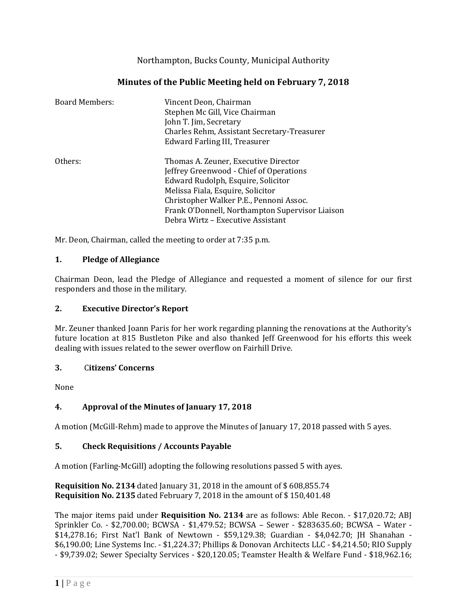Northampton, Bucks County, Municipal Authority

# **Minutes of the Public Meeting held on February 7, 2018**

| <b>Board Members:</b> | Vincent Deon, Chairman<br>Stephen Mc Gill, Vice Chairman<br>John T. Jim, Secretary<br>Charles Rehm, Assistant Secretary-Treasurer<br>Edward Farling III, Treasurer                                                                                                                            |
|-----------------------|-----------------------------------------------------------------------------------------------------------------------------------------------------------------------------------------------------------------------------------------------------------------------------------------------|
| Others:               | Thomas A. Zeuner, Executive Director<br>Jeffrey Greenwood - Chief of Operations<br>Edward Rudolph, Esquire, Solicitor<br>Melissa Fiala, Esquire, Solicitor<br>Christopher Walker P.E., Pennoni Assoc.<br>Frank O'Donnell, Northampton Supervisor Liaison<br>Debra Wirtz – Executive Assistant |

Mr. Deon, Chairman, called the meeting to order at 7:35 p.m.

#### **1. Pledge of Allegiance**

Chairman Deon, lead the Pledge of Allegiance and requested a moment of silence for our first responders and those in the military.

#### **2. Executive Director's Report**

Mr. Zeuner thanked Joann Paris for her work regarding planning the renovations at the Authority's future location at 815 Bustleton Pike and also thanked Jeff Greenwood for his efforts this week dealing with issues related to the sewer overflow on Fairhill Drive.

#### **3.** C**itizens' Concerns**

None

#### **4. Approval of the Minutes of January 17, 2018**

A motion (McGill-Rehm) made to approve the Minutes of January 17, 2018 passed with 5 ayes.

#### **5. Check Requisitions / Accounts Payable**

A motion (Farling-McGill) adopting the following resolutions passed 5 with ayes.

**Requisition No. 2134** dated January 31, 2018 in the amount of \$ 608,855.74 **Requisition No. 2135** dated February 7, 2018 in the amount of \$ 150,401.48

The major items paid under **Requisition No. 2134** are as follows: Able Recon. - \$17,020.72; ABJ Sprinkler Co. - \$2,700.00; BCWSA - \$1,479.52; BCWSA – Sewer - \$283635.60; BCWSA – Water - \$14,278.16; First Nat'l Bank of Newtown - \$59,129.38; Guardian - \$4,042.70; JH Shanahan - \$6,190.00; Line Systems Inc. - \$1,224.37; Phillips & Donovan Architects LLC - \$4,214.50; RIO Supply - \$9,739.02; Sewer Specialty Services - \$20,120.05; Teamster Health & Welfare Fund - \$18,962.16;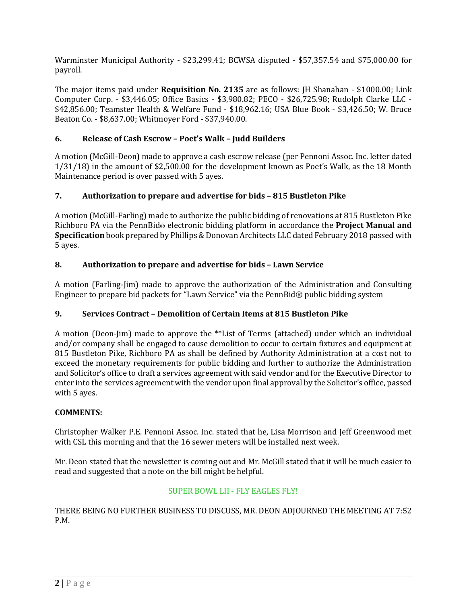Warminster Municipal Authority - \$23,299.41; BCWSA disputed - \$57,357.54 and \$75,000.00 for payroll.

The major items paid under **Requisition No. 2135** are as follows: JH Shanahan - \$1000.00; Link Computer Corp. - \$3,446.05; Office Basics - \$3,980.82; PECO - \$26,725.98; Rudolph Clarke LLC - \$42,856.00; Teamster Health & Welfare Fund - \$18,962.16; USA Blue Book - \$3,426.50; W. Bruce Beaton Co. - \$8,637.00; Whitmoyer Ford - \$37,940.00.

# **6. Release of Cash Escrow – Poet's Walk – Judd Builders**

A motion (McGill-Deon) made to approve a cash escrow release (per Pennoni Assoc. Inc. letter dated 1/31/18) in the amount of \$2,500.00 for the development known as Poet's Walk, as the 18 Month Maintenance period is over passed with 5 ayes.

## **7. Authorization to prepare and advertise for bids – 815 Bustleton Pike**

A motion (McGill-Farling) made to authorize the public bidding of renovations at 815 Bustleton Pike Richboro PA via the PennBid® electronic bidding platform in accordance the **Project Manual and Specification** book prepared by Phillips & Donovan Architects LLC dated February 2018 passed with 5 ayes.

## **8. Authorization to prepare and advertise for bids – Lawn Service**

A motion (Farling-Jim) made to approve the authorization of the Administration and Consulting Engineer to prepare bid packets for "Lawn Service" via the PennBid® public bidding system

# **9. Services Contract – Demolition of Certain Items at 815 Bustleton Pike**

A motion (Deon-Jim) made to approve the \*\*List of Terms (attached) under which an individual and/or company shall be engaged to cause demolition to occur to certain fixtures and equipment at 815 Bustleton Pike, Richboro PA as shall be defined by Authority Administration at a cost not to exceed the monetary requirements for public bidding and further to authorize the Administration and Solicitor's office to draft a services agreement with said vendor and for the Executive Director to enter into the services agreement with the vendor upon final approval by the Solicitor's office, passed with 5 ayes.

#### **COMMENTS:**

Christopher Walker P.E. Pennoni Assoc. Inc. stated that he, Lisa Morrison and Jeff Greenwood met with CSL this morning and that the 16 sewer meters will be installed next week.

Mr. Deon stated that the newsletter is coming out and Mr. McGill stated that it will be much easier to read and suggested that a note on the bill might be helpful.

# SUPER BOWL LII - FLY EAGLES FLY!

THERE BEING NO FURTHER BUSINESS TO DISCUSS, MR. DEON ADJOURNED THE MEETING AT 7:52 P.M.